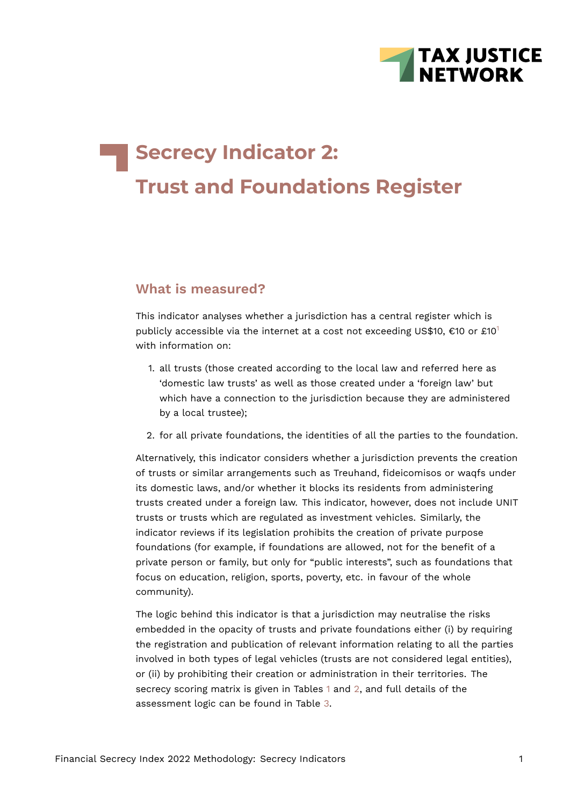<span id="page-0-0"></span>

# **Secrecy Indicator 2: Trust and Foundations Register**

# **What is measured?**

This indicator analyses whether a jurisdiction has a central register which is publicly accessible via the internet at a cost not exceeding US\$[1](#page-14-0)0,  $\epsilon$ 10 or £10<sup>1</sup> with information on:

- 1. all trusts (those created according to the local law and referred here as 'domestic law trusts' as well as those created under a 'foreign law' but which have a connection to the jurisdiction because they are administered by a local trustee);
- 2. for all private foundations, the identities of all the parties to the foundation.

Alternatively, this indicator considers whether a jurisdiction prevents the creation of trusts or similar arrangements such as Treuhand, fideicomisos or waqfs under its domestic laws, and/or whether it blocks its residents from administering trusts created under a foreign law. This indicator, however, does not include UNIT trusts or trusts which are regulated as investment vehicles. Similarly, the indicator reviews if its legislation prohibits the creation of private purpose foundations (for example, if foundations are allowed, not for the benefit of a private person or family, but only for "public interests", such as foundations that focus on education, religion, sports, poverty, etc. in favour of the whole community).

The logic behind this indicator is that a jurisdiction may neutralise the risks embedded in the opacity of trusts and private foundations either (i) by requiring the registration and publication of relevant information relating to all the parties involved in both types of legal vehicles (trusts are not considered legal entities), or (ii) by prohibiting their creation or administration in their territories. The secrecy scoring matrix is given in Tables [1](#page-2-0) and [2,](#page-3-0) and full details of the assessment logic can be found in Table [3.](#page-8-0)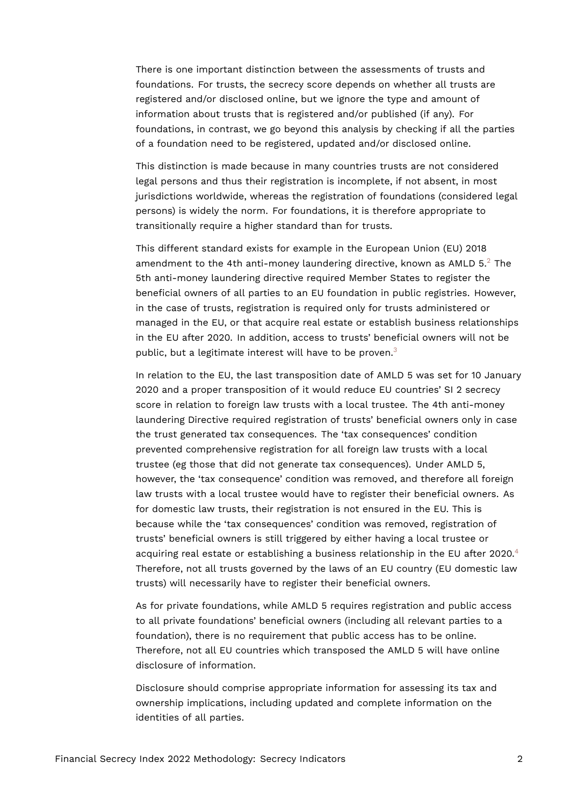There is one important distinction between the assessments of trusts and foundations. For trusts, the secrecy score depends on whether all trusts are registered and/or disclosed online, but we ignore the type and amount of information about trusts that is registered and/or published (if any). For foundations, in contrast, we go beyond this analysis by checking if all the parties of a foundation need to be registered, updated and/or disclosed online.

This distinction is made because in many countries trusts are not considered legal persons and thus their registration is incomplete, if not absent, in most jurisdictions worldwide, whereas the registration of foundations (considered legal persons) is widely the norm. For foundations, it is therefore appropriate to transitionally require a higher standard than for trusts.

<span id="page-1-0"></span>This different standard exists for example in the European Union (EU) 2018 amendment to the 4th anti-money laundering directive, known as AMLD  $5.<sup>2</sup>$  $5.<sup>2</sup>$  $5.<sup>2</sup>$  The 5th anti-money laundering directive required Member States to register the beneficial owners of all parties to an EU foundation in public registries. However, in the case of trusts, registration is required only for trusts administered or managed in the EU, or that acquire real estate or establish business relationships in the EU after 2020. In addition, access to trusts' beneficial owners will not be public, but a legitimate interest will have to be proven.<sup>[3](#page-14-2)</sup>

<span id="page-1-1"></span>In relation to the EU, the last transposition date of AMLD 5 was set for 10 January 2020 and a proper transposition of it would reduce EU countries' SI 2 secrecy score in relation to foreign law trusts with a local trustee. The 4th anti-money laundering Directive required registration of trusts' beneficial owners only in case the trust generated tax consequences. The 'tax consequences' condition prevented comprehensive registration for all foreign law trusts with a local trustee (eg those that did not generate tax consequences). Under AMLD 5, however, the 'tax consequence' condition was removed, and therefore all foreign law trusts with a local trustee would have to register their beneficial owners. As for domestic law trusts, their registration is not ensured in the EU. This is because while the 'tax consequences' condition was removed, registration of trusts' beneficial owners is still triggered by either having a local trustee or acquiring real estate or establishing a business relationship in the EU after 2020.<sup>[4](#page-14-3)</sup> Therefore, not all trusts governed by the laws of an EU country (EU domestic law trusts) will necessarily have to register their beneficial owners.

<span id="page-1-2"></span>As for private foundations, while AMLD 5 requires registration and public access to all private foundations' beneficial owners (including all relevant parties to a foundation), there is no requirement that public access has to be online. Therefore, not all EU countries which transposed the AMLD 5 will have online disclosure of information.

Disclosure should comprise appropriate information for assessing its tax and ownership implications, including updated and complete information on the identities of all parties.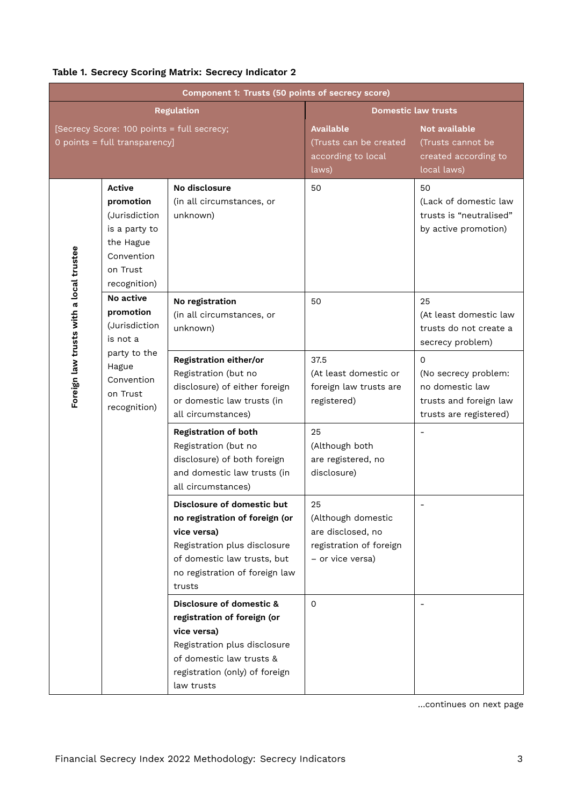|                                         |                                                                                                              | Component 1: Trusts (50 points of secrecy score)                                                                                                                                       |                                                                                              |                                                                                                         |
|-----------------------------------------|--------------------------------------------------------------------------------------------------------------|----------------------------------------------------------------------------------------------------------------------------------------------------------------------------------------|----------------------------------------------------------------------------------------------|---------------------------------------------------------------------------------------------------------|
|                                         |                                                                                                              | <b>Regulation</b>                                                                                                                                                                      |                                                                                              | <b>Domestic law trusts</b>                                                                              |
|                                         | [Secrecy Score: 100 points = full secrecy;<br>0 points = full transparency]                                  |                                                                                                                                                                                        | <b>Available</b><br>(Trusts can be created<br>according to local<br>laws)                    | Not available<br>(Trusts cannot be<br>created according to<br>local laws)                               |
|                                         | Active<br>promotion<br>(Jurisdiction<br>is a party to<br>the Hague<br>Convention<br>on Trust<br>recognition) | No disclosure<br>(in all circumstances, or<br>unknown)                                                                                                                                 | 50                                                                                           | 50<br>(Lack of domestic law<br>trusts is "neutralised"<br>by active promotion)                          |
| Foreign law trusts with a local trustee | No active<br>promotion<br>(Jurisdiction<br>is not a                                                          | No registration<br>(in all circumstances, or<br>unknown)                                                                                                                               | 50                                                                                           | 25<br>(At least domestic law<br>trusts do not create a<br>secrecy problem)                              |
|                                         | party to the<br>Hague<br>Convention<br>on Trust<br>recognition)                                              | Registration either/or<br>Registration (but no<br>disclosure) of either foreign<br>or domestic law trusts (in<br>all circumstances)                                                    | 37.5<br>(At least domestic or<br>foreign law trusts are<br>registered)                       | $\Omega$<br>(No secrecy problem:<br>no domestic law<br>trusts and foreign law<br>trusts are registered) |
|                                         |                                                                                                              | <b>Registration of both</b><br>Registration (but no<br>disclosure) of both foreign<br>and domestic law trusts (in<br>all circumstances)                                                | 25<br>(Although both<br>are registered, no<br>disclosure)                                    |                                                                                                         |
|                                         |                                                                                                              | Disclosure of domestic but<br>no registration of foreign (or<br>vice versa)<br>Registration plus disclosure<br>of domestic law trusts, but<br>no registration of foreign law<br>trusts | 25<br>(Although domestic<br>are disclosed, no<br>registration of foreign<br>- or vice versa) |                                                                                                         |
|                                         |                                                                                                              | Disclosure of domestic &<br>registration of foreign (or<br>vice versa)<br>Registration plus disclosure<br>of domestic law trusts &<br>registration (only) of foreign<br>law trusts     | $\Omega$                                                                                     |                                                                                                         |

## <span id="page-2-0"></span>**Table 1. Secrecy Scoring Matrix: Secrecy Indicator 2**

…continues on next page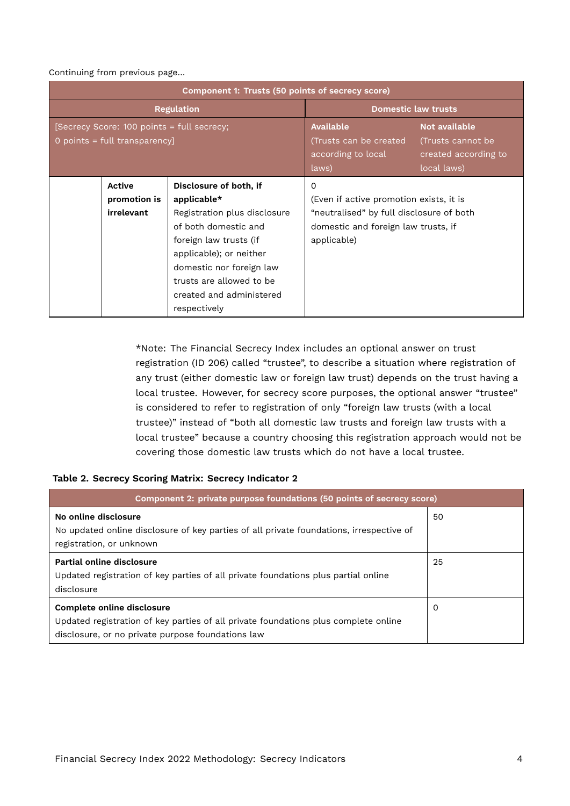#### Continuing from previous page…

|                                                                             | Component 1: Trusts (50 points of secrecy score)                                                                                                                                                                                                          |                                                                                                                                                       |                                                                           |  |  |  |  |  |
|-----------------------------------------------------------------------------|-----------------------------------------------------------------------------------------------------------------------------------------------------------------------------------------------------------------------------------------------------------|-------------------------------------------------------------------------------------------------------------------------------------------------------|---------------------------------------------------------------------------|--|--|--|--|--|
|                                                                             | <b>Regulation</b>                                                                                                                                                                                                                                         | <b>Domestic law trusts</b>                                                                                                                            |                                                                           |  |  |  |  |  |
| [Secrecy Score: 100 points = full secrecy;<br>0 points = full transparency] |                                                                                                                                                                                                                                                           | <b>Available</b><br>(Trusts can be created<br>according to local<br>laws)                                                                             | Not available<br>(Trusts cannot be<br>created according to<br>local laws) |  |  |  |  |  |
| <b>Active</b><br>promotion is<br>irrelevant                                 | Disclosure of both, if<br>applicable $*$<br>Registration plus disclosure<br>of both domestic and<br>foreign law trusts (if<br>applicable); or neither<br>domestic nor foreign law<br>trusts are allowed to be<br>created and administered<br>respectively | $\Omega$<br>(Even if active promotion exists, it is<br>"neutralised" by full disclosure of both<br>domestic and foreign law trusts, if<br>applicable) |                                                                           |  |  |  |  |  |

\*Note: The Financial Secrecy Index includes an optional answer on trust registration (ID 206) called "trustee", to describe a situation where registration of any trust (either domestic law or foreign law trust) depends on the trust having a local trustee. However, for secrecy score purposes, the optional answer "trustee" is considered to refer to registration of only "foreign law trusts (with a local trustee)" instead of "both all domestic law trusts and foreign law trusts with a local trustee" because a country choosing this registration approach would not be covering those domestic law trusts which do not have a local trustee.

#### <span id="page-3-0"></span>**Table 2. Secrecy Scoring Matrix: Secrecy Indicator 2**

| Component 2: private purpose foundations (50 points of secrecy score)                                                                                                  |    |
|------------------------------------------------------------------------------------------------------------------------------------------------------------------------|----|
| No online disclosure<br>No updated online disclosure of key parties of all private foundations, irrespective of<br>registration, or unknown                            | 50 |
| Partial online disclosure<br>Updated registration of key parties of all private foundations plus partial online<br>disclosure                                          | 25 |
| Complete online disclosure<br>Updated registration of key parties of all private foundations plus complete online<br>disclosure, or no private purpose foundations law | 0  |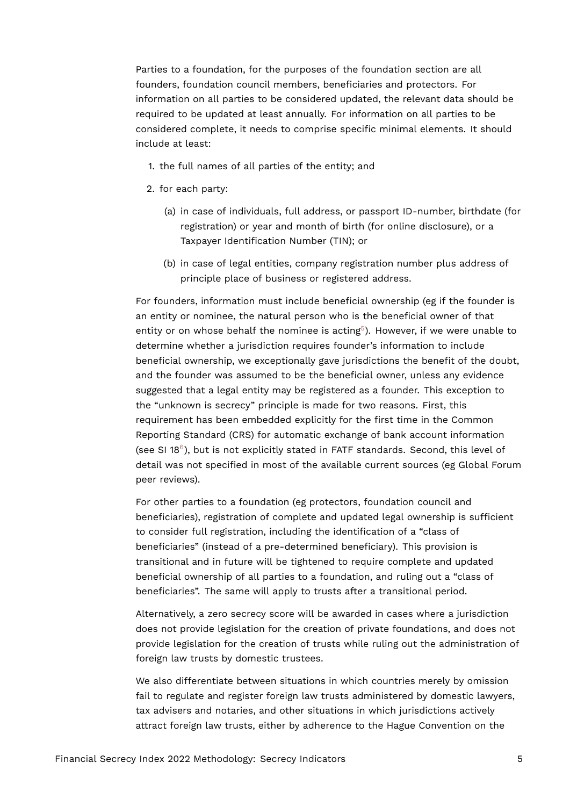Parties to a foundation, for the purposes of the foundation section are all founders, foundation council members, beneficiaries and protectors. For information on all parties to be considered updated, the relevant data should be required to be updated at least annually. For information on all parties to be considered complete, it needs to comprise specific minimal elements. It should include at least:

- 1. the full names of all parties of the entity; and
- 2. for each party:
	- (a) in case of individuals, full address, or passport ID-number, birthdate (for registration) or year and month of birth (for online disclosure), or a Taxpayer Identification Number (TIN); or
	- (b) in case of legal entities, company registration number plus address of principle place of business or registered address.

<span id="page-4-0"></span>For founders, information must include beneficial ownership (eg if the founder is an entity or nominee, the natural person who is the beneficial owner of that entity or on whose behalf the nominee is acting $5$ ). However, if we were unable to determine whether a jurisdiction requires founder's information to include beneficial ownership, we exceptionally gave jurisdictions the benefit of the doubt, and the founder was assumed to be the beneficial owner, unless any evidence suggested that a legal entity may be registered as a founder. This exception to the "unknown is secrecy" principle is made for two reasons. First, this requirement has been embedded explicitly for the first time in the Common Reporting Standard (CRS) for automatic exchange of bank account information (see SI 18 $^6$  $^6$ ), but is not explicitly stated in FATF standards. Second, this level of detail was not specified in most of the available current sources (eg Global Forum peer reviews).

<span id="page-4-1"></span>For other parties to a foundation (eg protectors, foundation council and beneficiaries), registration of complete and updated legal ownership is sufficient to consider full registration, including the identification of a "class of beneficiaries" (instead of a pre-determined beneficiary). This provision is transitional and in future will be tightened to require complete and updated beneficial ownership of all parties to a foundation, and ruling out a "class of beneficiaries". The same will apply to trusts after a transitional period.

Alternatively, a zero secrecy score will be awarded in cases where a jurisdiction does not provide legislation for the creation of private foundations, and does not provide legislation for the creation of trusts while ruling out the administration of foreign law trusts by domestic trustees.

We also differentiate between situations in which countries merely by omission fail to regulate and register foreign law trusts administered by domestic lawyers, tax advisers and notaries, and other situations in which jurisdictions actively attract foreign law trusts, either by adherence to the Hague Convention on the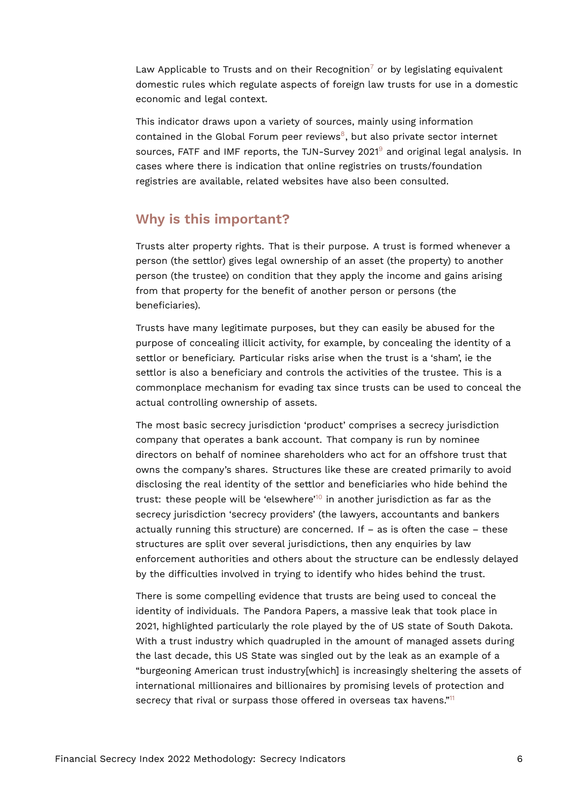<span id="page-5-0"></span>Law Applicable to Trusts and on their Recognition<sup>[7](#page-14-6)</sup> or by legislating equivalent domestic rules which regulate aspects of foreign law trusts for use in a domestic economic and legal context.

<span id="page-5-2"></span><span id="page-5-1"></span>This indicator draws upon a variety of sources, mainly using information contained in the Global Forum peer reviews<sup>[8](#page-14-7)</sup>, but also private sector internet sources, FATF and IMF reports, the TJN-Survey 2021<sup>[9](#page-15-0)</sup> and original legal analysis. In cases where there is indication that online registries on trusts/foundation registries are available, related websites have also been consulted.

# **Why is this important?**

Trusts alter property rights. That is their purpose. A trust is formed whenever a person (the settlor) gives legal ownership of an asset (the property) to another person (the trustee) on condition that they apply the income and gains arising from that property for the benefit of another person or persons (the beneficiaries).

Trusts have many legitimate purposes, but they can easily be abused for the purpose of concealing illicit activity, for example, by concealing the identity of a settlor or beneficiary. Particular risks arise when the trust is a 'sham', ie the settlor is also a beneficiary and controls the activities of the trustee. This is a commonplace mechanism for evading tax since trusts can be used to conceal the actual controlling ownership of assets.

<span id="page-5-3"></span>The most basic secrecy jurisdiction 'product' comprises a secrecy jurisdiction company that operates a bank account. That company is run by nominee directors on behalf of nominee shareholders who act for an offshore trust that owns the company's shares. Structures like these are created primarily to avoid disclosing the real identity of the settlor and beneficiaries who hide behind the trust: these people will be 'elsewhere'[10](#page-15-1) in another jurisdiction as far as the secrecy jurisdiction 'secrecy providers' (the lawyers, accountants and bankers actually running this structure) are concerned. If  $-$  as is often the case  $-$  these structures are split over several jurisdictions, then any enquiries by law enforcement authorities and others about the structure can be endlessly delayed by the difficulties involved in trying to identify who hides behind the trust.

<span id="page-5-4"></span>There is some compelling evidence that trusts are being used to conceal the identity of individuals. The Pandora Papers, a massive leak that took place in 2021, highlighted particularly the role played by the of US state of South Dakota. With a trust industry which quadrupled in the amount of managed assets during the last decade, this US State was singled out by the leak as an example of a "burgeoning American trust industry[which] is increasingly sheltering the assets of international millionaires and billionaires by promising levels of protection and secrecy that rival or surpass those offered in overseas tax havens."<sup>[11](#page-15-2)</sup>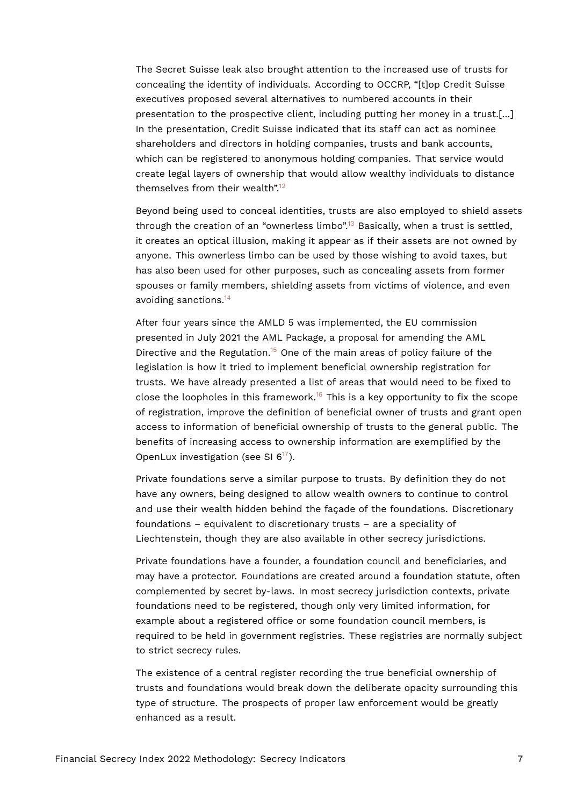The Secret Suisse leak also brought attention to the increased use of trusts for concealing the identity of individuals. According to OCCRP, "[t]op Credit Suisse executives proposed several alternatives to numbered accounts in their presentation to the prospective client, including putting her money in a trust.[…] In the presentation, Credit Suisse indicated that its staff can act as nominee shareholders and directors in holding companies, trusts and bank accounts, which can be registered to anonymous holding companies. That service would create legal layers of ownership that would allow wealthy individuals to distance themselves from their wealth".[12](#page-15-3)

<span id="page-6-1"></span><span id="page-6-0"></span>Beyond being used to conceal identities, trusts are also employed to shield assets through the creation of an "ownerless limbo".[13](#page-15-4) Basically, when a trust is settled, it creates an optical illusion, making it appear as if their assets are not owned by anyone. This ownerless limbo can be used by those wishing to avoid taxes, but has also been used for other purposes, such as concealing assets from former spouses or family members, shielding assets from victims of violence, and even avoiding sanctions.[14](#page-15-5)

<span id="page-6-4"></span><span id="page-6-3"></span><span id="page-6-2"></span>After four years since the AMLD 5 was implemented, the EU commission presented in July 2021 the AML Package, a proposal for amending the AML Directive and the Regulation.<sup>[15](#page-15-6)</sup> One of the main areas of policy failure of the legislation is how it tried to implement beneficial ownership registration for trusts. We have already presented a list of areas that would need to be fixed to close the loopholes in this framework.<sup>[16](#page-15-7)</sup> This is a key opportunity to fix the scope of registration, improve the definition of beneficial owner of trusts and grant open access to information of beneficial ownership of trusts to the general public. The benefits of increasing access to ownership information are exemplified by the OpenLux investigation (see SI 6[17](#page-15-8)).

<span id="page-6-5"></span>Private foundations serve a similar purpose to trusts. By definition they do not have any owners, being designed to allow wealth owners to continue to control and use their wealth hidden behind the façade of the foundations. Discretionary foundations – equivalent to discretionary trusts – are a speciality of Liechtenstein, though they are also available in other secrecy jurisdictions.

Private foundations have a founder, a foundation council and beneficiaries, and may have a protector. Foundations are created around a foundation statute, often complemented by secret by-laws. In most secrecy jurisdiction contexts, private foundations need to be registered, though only very limited information, for example about a registered office or some foundation council members, is required to be held in government registries. These registries are normally subject to strict secrecy rules.

The existence of a central register recording the true beneficial ownership of trusts and foundations would break down the deliberate opacity surrounding this type of structure. The prospects of proper law enforcement would be greatly enhanced as a result.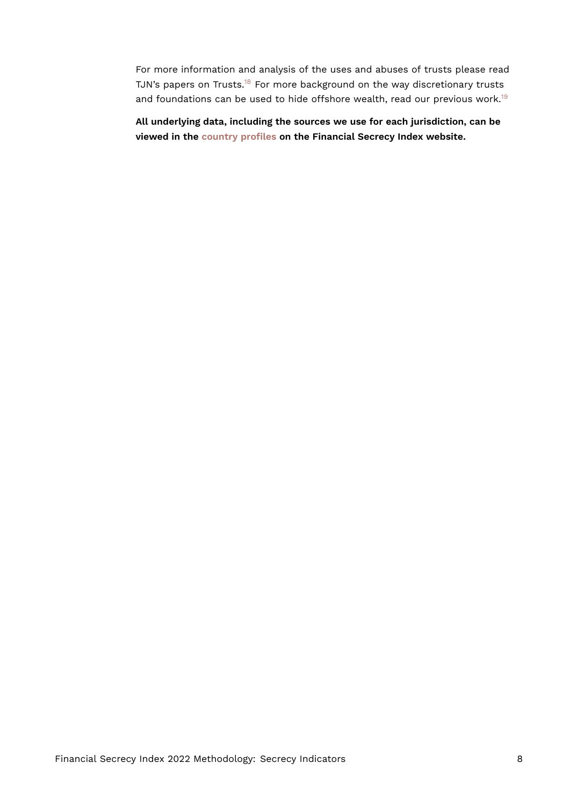<span id="page-7-1"></span><span id="page-7-0"></span>For more information and analysis of the uses and abuses of trusts please read TJN's papers on Trusts.<sup>[18](#page-15-9)</sup> For more background on the way discretionary trusts and foundations can be used to hide offshore wealth, read our previous work.<sup>[19](#page-15-10)</sup>

**All underlying data, including the sources we use for each jurisdiction, can be viewed in the [country profiles](https://fsi.taxjustice.net/country-detail) on the Financial Secrecy Index website.**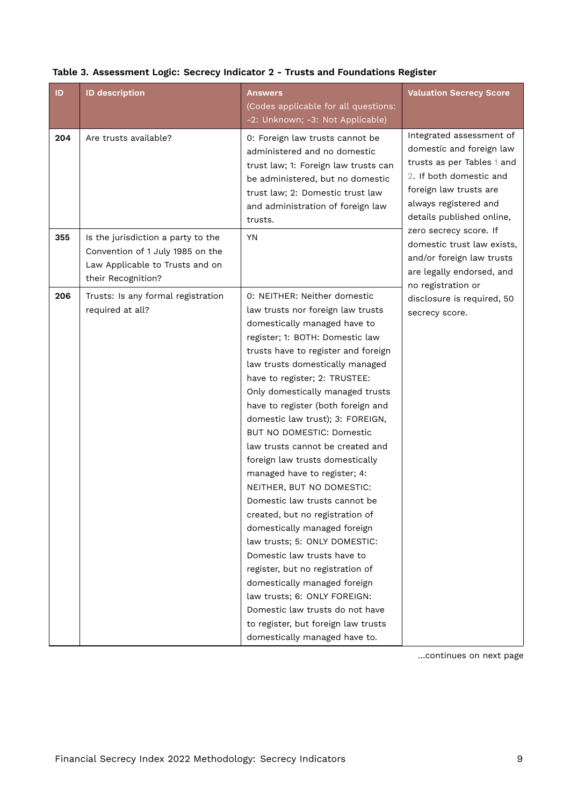| ID  | <b>ID description</b>                                                                                                           | <b>Answers</b>                                                                                                                                                                                                                                                                                                                                                                                                                                                                                                                                                                                                                                                                                                                                                                                                                                                                                                    | <b>Valuation Secrecy Score</b>                                                                                                                                                                                          |
|-----|---------------------------------------------------------------------------------------------------------------------------------|-------------------------------------------------------------------------------------------------------------------------------------------------------------------------------------------------------------------------------------------------------------------------------------------------------------------------------------------------------------------------------------------------------------------------------------------------------------------------------------------------------------------------------------------------------------------------------------------------------------------------------------------------------------------------------------------------------------------------------------------------------------------------------------------------------------------------------------------------------------------------------------------------------------------|-------------------------------------------------------------------------------------------------------------------------------------------------------------------------------------------------------------------------|
|     |                                                                                                                                 | (Codes applicable for all questions:                                                                                                                                                                                                                                                                                                                                                                                                                                                                                                                                                                                                                                                                                                                                                                                                                                                                              |                                                                                                                                                                                                                         |
|     |                                                                                                                                 | -2: Unknown; -3: Not Applicable)                                                                                                                                                                                                                                                                                                                                                                                                                                                                                                                                                                                                                                                                                                                                                                                                                                                                                  |                                                                                                                                                                                                                         |
| 204 | Are trusts available?                                                                                                           | 0: Foreign law trusts cannot be<br>administered and no domestic<br>trust law; 1: Foreign law trusts can<br>be administered, but no domestic<br>trust law; 2: Domestic trust law<br>and administration of foreign law<br>trusts.                                                                                                                                                                                                                                                                                                                                                                                                                                                                                                                                                                                                                                                                                   | Integrated assessment of<br>domestic and foreign law<br>trusts as per Tables 1 and<br>2. If both domestic and<br>foreign law trusts are<br>always registered and<br>details published online,<br>zero secrecy score. If |
| 355 | Is the jurisdiction a party to the<br>Convention of 1 July 1985 on the<br>Law Applicable to Trusts and on<br>their Recognition? | <b>YN</b>                                                                                                                                                                                                                                                                                                                                                                                                                                                                                                                                                                                                                                                                                                                                                                                                                                                                                                         | domestic trust law exists,<br>and/or foreign law trusts<br>are legally endorsed, and<br>no registration or                                                                                                              |
| 206 | Trusts: Is any formal registration<br>required at all?                                                                          | 0: NEITHER: Neither domestic<br>law trusts nor foreign law trusts<br>domestically managed have to<br>register; 1: BOTH: Domestic law<br>trusts have to register and foreign<br>law trusts domestically managed<br>have to register; 2: TRUSTEE:<br>Only domestically managed trusts<br>have to register (both foreign and<br>domestic law trust); 3: FOREIGN,<br>BUT NO DOMESTIC: Domestic<br>law trusts cannot be created and<br>foreign law trusts domestically<br>managed have to register; 4:<br>NEITHER, BUT NO DOMESTIC:<br>Domestic law trusts cannot be<br>created, but no registration of<br>domestically managed foreign<br>law trusts; 5: ONLY DOMESTIC:<br>Domestic law trusts have to<br>register, but no registration of<br>domestically managed foreign<br>law trusts; 6: ONLY FOREIGN:<br>Domestic law trusts do not have<br>to register, but foreign law trusts<br>domestically managed have to. | disclosure is required, 50<br>secrecy score.                                                                                                                                                                            |

#### <span id="page-8-0"></span>**Table 3. Assessment Logic: Secrecy Indicator 2 - Trusts and Foundations Register**

…continues on next page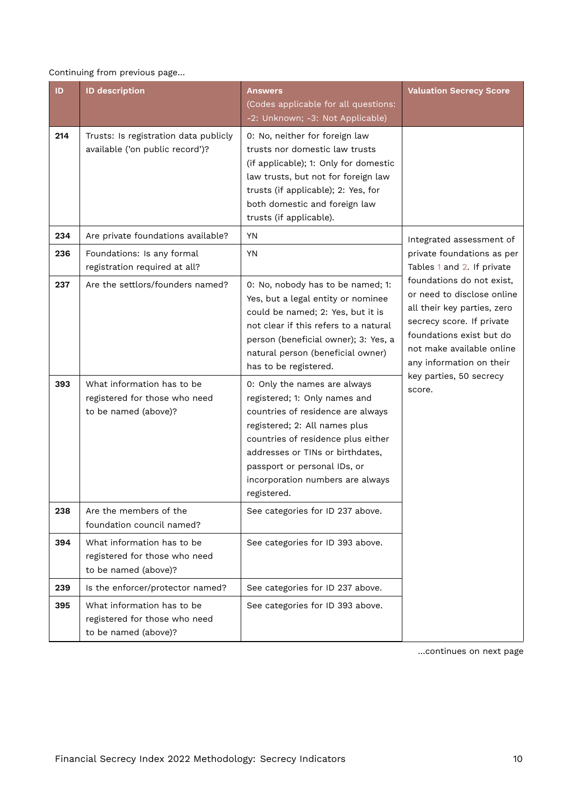Continuing from previous page…

| ID  | <b>ID description</b>                                                               | <b>Answers</b><br>(Codes applicable for all questions:<br>-2: Unknown; -3: Not Applicable)                                                                                                                                                                                                       | <b>Valuation Secrecy Score</b>                                                                                                                                                                           |
|-----|-------------------------------------------------------------------------------------|--------------------------------------------------------------------------------------------------------------------------------------------------------------------------------------------------------------------------------------------------------------------------------------------------|----------------------------------------------------------------------------------------------------------------------------------------------------------------------------------------------------------|
| 214 | Trusts: Is registration data publicly<br>available ('on public record')?            | 0: No, neither for foreign law<br>trusts nor domestic law trusts<br>(if applicable); 1: Only for domestic<br>law trusts, but not for foreign law<br>trusts (if applicable); 2: Yes, for<br>both domestic and foreign law<br>trusts (if applicable).                                              |                                                                                                                                                                                                          |
| 234 | Are private foundations available?                                                  | YN                                                                                                                                                                                                                                                                                               | Integrated assessment of                                                                                                                                                                                 |
| 236 | Foundations: Is any formal<br>registration required at all?                         | <b>YN</b>                                                                                                                                                                                                                                                                                        | private foundations as per<br>Tables 1 and 2. If private                                                                                                                                                 |
| 237 | Are the settlors/founders named?                                                    | 0: No, nobody has to be named; 1:<br>Yes, but a legal entity or nominee<br>could be named; 2: Yes, but it is<br>not clear if this refers to a natural<br>person (beneficial owner); 3: Yes, a<br>natural person (beneficial owner)<br>has to be registered.                                      | foundations do not exist,<br>or need to disclose online<br>all their key parties, zero<br>secrecy score. If private<br>foundations exist but do<br>not make available online<br>any information on their |
| 393 | What information has to be<br>registered for those who need<br>to be named (above)? | 0: Only the names are always<br>registered; 1: Only names and<br>countries of residence are always<br>registered; 2: All names plus<br>countries of residence plus either<br>addresses or TINs or birthdates,<br>passport or personal IDs, or<br>incorporation numbers are always<br>registered. | key parties, 50 secrecy<br>score.                                                                                                                                                                        |
| 238 | Are the members of the<br>foundation council named?                                 | See categories for ID 237 above.                                                                                                                                                                                                                                                                 |                                                                                                                                                                                                          |
| 394 | What information has to be<br>registered for those who need<br>to be named (above)? | See categories for ID 393 above.                                                                                                                                                                                                                                                                 |                                                                                                                                                                                                          |
| 239 | Is the enforcer/protector named?                                                    | See categories for ID 237 above.                                                                                                                                                                                                                                                                 |                                                                                                                                                                                                          |
| 395 | What information has to be<br>registered for those who need<br>to be named (above)? | See categories for ID 393 above.                                                                                                                                                                                                                                                                 |                                                                                                                                                                                                          |

…continues on next page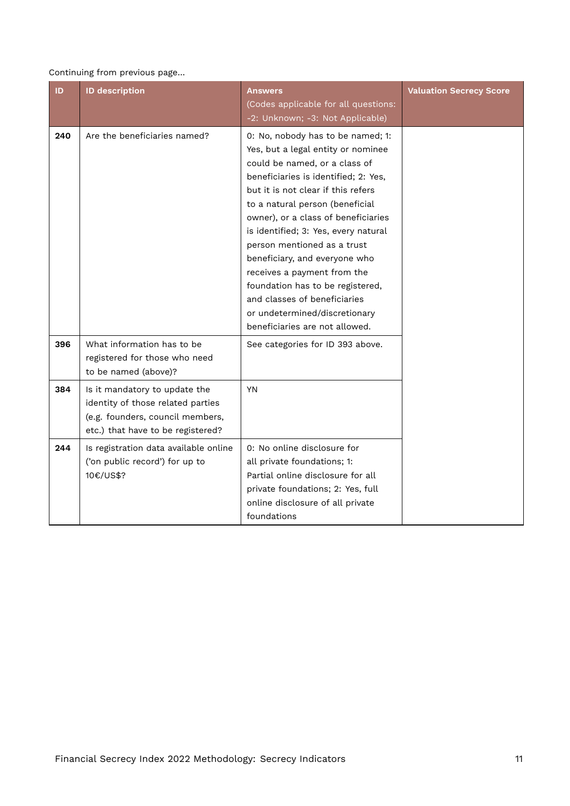#### Continuing from previous page…

| ID  | <b>ID description</b>                                                                                                                       | <b>Answers</b><br>(Codes applicable for all questions:<br>-2: Unknown; -3: Not Applicable)                                                                                                                                                                                                                                                                                                                                                                                                                                                     | <b>Valuation Secrecy Score</b> |
|-----|---------------------------------------------------------------------------------------------------------------------------------------------|------------------------------------------------------------------------------------------------------------------------------------------------------------------------------------------------------------------------------------------------------------------------------------------------------------------------------------------------------------------------------------------------------------------------------------------------------------------------------------------------------------------------------------------------|--------------------------------|
| 240 | Are the beneficiaries named?                                                                                                                | 0: No, nobody has to be named; 1:<br>Yes, but a legal entity or nominee<br>could be named, or a class of<br>beneficiaries is identified; 2: Yes,<br>but it is not clear if this refers<br>to a natural person (beneficial<br>owner), or a class of beneficiaries<br>is identified; 3: Yes, every natural<br>person mentioned as a trust<br>beneficiary, and everyone who<br>receives a payment from the<br>foundation has to be registered,<br>and classes of beneficiaries<br>or undetermined/discretionary<br>beneficiaries are not allowed. |                                |
| 396 | What information has to be<br>registered for those who need<br>to be named (above)?                                                         | See categories for ID 393 above.                                                                                                                                                                                                                                                                                                                                                                                                                                                                                                               |                                |
| 384 | Is it mandatory to update the<br>identity of those related parties<br>(e.g. founders, council members,<br>etc.) that have to be registered? | <b>YN</b>                                                                                                                                                                                                                                                                                                                                                                                                                                                                                                                                      |                                |
| 244 | Is registration data available online<br>('on public record') for up to<br>10€/US\$?                                                        | 0: No online disclosure for<br>all private foundations; 1:<br>Partial online disclosure for all<br>private foundations; 2: Yes, full<br>online disclosure of all private<br>foundations                                                                                                                                                                                                                                                                                                                                                        |                                |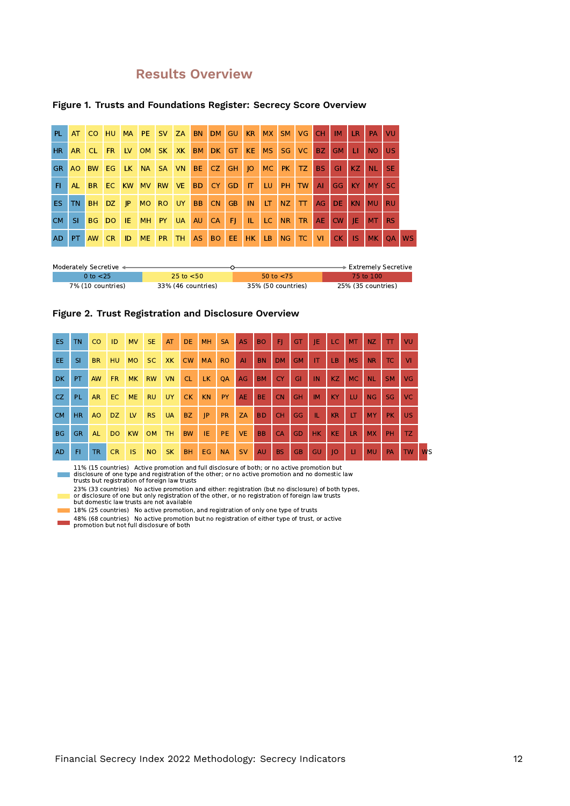# **Results Overview**

| PL.       | AT        | CO HU     |           |             |           | MA PE SV ZA  | <b>BN</b> | DM        | <b>GU</b> | <b>KR</b>      | <b>MX</b> | SM.            | <b>VG</b> | CH.       | IM        | <b>LR</b> | PA             | VU        |           |
|-----------|-----------|-----------|-----------|-------------|-----------|--------------|-----------|-----------|-----------|----------------|-----------|----------------|-----------|-----------|-----------|-----------|----------------|-----------|-----------|
| HR.       | AR.       | CL.       | <b>FR</b> |             |           | LV OM SK XK  | <b>BM</b> |           | $DK$ $GT$ | KE MS          |           | SG.            | VC.       | BZ        | GM        | <b>LI</b> | <b>NO</b>      | <b>US</b> |           |
| GR.       |           | AO BW     | EG        |             |           | LK NA SA VN  | BE        | CZ GH JO  |           |                |           | MC PK          | TZ.       | BS.       | GI.       | KZ.       | <b>NL</b>      | <b>SE</b> |           |
| FL.       | AL.       | <b>BR</b> | EC.       | <b>KW</b>   | <b>MV</b> | RW VE        | <b>BD</b> | CY        | GD.       | <b>TIM</b>     | LU.       | PH.            | <b>TW</b> | AI        | <b>GG</b> | KY        | <b>MY</b>      | SC.       |           |
| ES.       | <b>TN</b> | BH.       | DZ.       | $ $ $ $ $ $ |           | MO RO UY     | <b>BB</b> | <b>CN</b> | <b>GB</b> | IN             | <b>LT</b> | NZ             | $\top$    | AG        | DE.       | KN        | <b>MU</b>      | <b>RU</b> |           |
| CM.       | SI.       | BG.       | <b>DO</b> | IE.         | <b>MH</b> | <b>PY UA</b> | AU        |           | $CA$ $FI$ | $\blacksquare$ | LC        | N <sub>R</sub> | <b>TR</b> | AE.       | <b>CW</b> | IE.       | M <sub>T</sub> | RS.       |           |
| <b>AD</b> | PT.       | AW CR     |           | ID          | <b>ME</b> | $PR$ TH      |           | AS BO EE  |           | HK LB          |           | NG             | TC        | <b>VI</b> | CK        | <b>IS</b> | <b>MK</b>      | <b>OA</b> | <b>WS</b> |

#### **Figure 1. Trusts and Foundations Register: Secrecy Score Overview**

| Moderately Secretive < |                    |                    | $\blacktriangleright$ Extremely Secretive |
|------------------------|--------------------|--------------------|-------------------------------------------|
| 0 to $<$ 25            | 25 to $<$ 50       | 50 to $<$ 75       | 75 to 100.                                |
| 7% (10 countries)      | 33% (46 countries) | 35% (50 countries) | 25% (35 countries)                        |



| ES.       | TN.       | CO        | ID        | <b>MV</b> | SE.       | AT        | DE.       | <b>MH</b> | <b>SA</b> | <b>AS</b> | <b>BO</b> | F         | GT        | IE              | LC.             | <b>MT</b> | NZ.       | $\mathbf{T}$ | VU        |                      |
|-----------|-----------|-----------|-----------|-----------|-----------|-----------|-----------|-----------|-----------|-----------|-----------|-----------|-----------|-----------------|-----------------|-----------|-----------|--------------|-----------|----------------------|
| EE.       | <b>SI</b> | <b>BR</b> | <b>HU</b> | <b>MO</b> | SC.       | XK.       | <b>CW</b> | <b>MA</b> | <b>RO</b> | AI        | <b>BN</b> | <b>DM</b> | <b>GM</b> | IT.             | LB.             | <b>MS</b> | <b>NR</b> | TC.          | <b>VI</b> |                      |
| <b>DK</b> | PT.       | <b>AW</b> | FR.       | MK.       | <b>RW</b> | <b>VN</b> | CL.       | LK.       | QA        | AG        | <b>BM</b> | <b>CY</b> | GI        | $\overline{1}N$ | KZ              | <b>MC</b> | <b>NL</b> | <b>SM</b>    | <b>VG</b> |                      |
| CZ.       | PL.       | <b>AR</b> | EC.       | <b>ME</b> | <b>RU</b> | UY.       | CK        | <b>KN</b> | <b>PY</b> | <b>AE</b> | <b>BE</b> | <b>CN</b> | <b>GH</b> | <b>IM</b>       | <b>KY</b>       | <b>LU</b> | NG        | SG           | VC        |                      |
| <b>CM</b> | HR.       | AO        | DZ.       | <b>LV</b> | <b>RS</b> | <b>UA</b> | <b>BZ</b> | P         | <b>PR</b> | ZA        | BD.       | <b>CH</b> | GG        | TL.             | <b>KR</b>       | <b>IT</b> | <b>MY</b> | PK.          | <b>US</b> |                      |
| <b>BG</b> | GR.       | <b>AL</b> | <b>DO</b> | <b>KW</b> | <b>OM</b> | TH.       | <b>BW</b> | <b>TE</b> | <b>PE</b> | <b>VE</b> | <b>BB</b> | CA        | <b>GD</b> | <b>HK</b>       | <b>KE</b>       | <b>LR</b> | <b>MX</b> | <b>PH</b>    | TZ.       |                      |
| <b>AD</b> | FI.       | <b>TR</b> | <b>CR</b> | IS.       | <b>NO</b> | <b>SK</b> | <b>BH</b> | EG        | <b>NA</b> | <b>SV</b> | <b>AU</b> | <b>BS</b> | GB.       | GU              | $\overline{10}$ | <b>LI</b> | <b>MU</b> | <b>PA</b>    | <b>TW</b> | <b>W<sub>S</sub></b> |

11% (15 countries) Active promotion and full disclosure of both; or no active promotion but<br>disclosure of one type and registration of the other; or no active promotion and no domestic law<br>trusts but registration of fore  $\mathcal{L}_{\text{max}}$ 

23% (33 countries) No active promotion and either: registration (but no disclosure) of both types,<br>or disclosure of one but only registration of the other, or no registration of foreign law trusts<br>but domestic law trusts

- 18% (25 countries) No active promotion, and registration of only one type of trusts
- 48% (68 countries) No active promotion but no registration of either type of trust, or active promotion but not full disclosure of both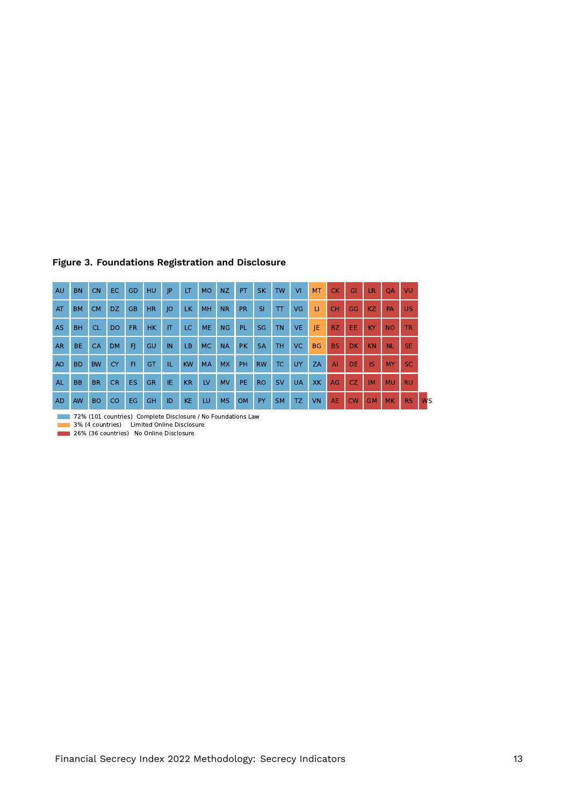| <b>AU</b>      | <b>BN</b>      | <b>CN</b> | EC.       | <b>GD</b> | <b>HU</b>      | JP.                     | LT.       | <b>MO</b> | NZ        | PT.       | <b>SK</b> | <b>TW</b> | <b>VI</b> | <b>MT</b>    | <b>CK</b>       | GI        | <b>LR</b> | <b>OA</b> | <b>VU</b> |                      |
|----------------|----------------|-----------|-----------|-----------|----------------|-------------------------|-----------|-----------|-----------|-----------|-----------|-----------|-----------|--------------|-----------------|-----------|-----------|-----------|-----------|----------------------|
| AT             | <b>BM</b>      | <b>CM</b> | DZ.       | <b>GB</b> | H <sub>R</sub> | O                       | LK.       | MH        | <b>NR</b> | <b>PR</b> | <b>SI</b> | $\top$    | <b>VG</b> | $\mathbf{H}$ | <b>CH</b>       | GG        | KZ.       | <b>PA</b> | <b>US</b> |                      |
| AS             | <b>BH</b>      | <b>CL</b> | <b>DO</b> | FR.       | <b>HK</b>      | $\mathsf{I} \mathsf{T}$ | LC        | <b>ME</b> | <b>NG</b> | <b>PL</b> | <b>SG</b> | <b>TN</b> | <b>VE</b> | IE.          | BZ.             | EE.       | <b>KY</b> | <b>NO</b> | <b>TR</b> |                      |
| <b>AR</b>      | BE.            | CA        | <b>DM</b> | FI.       | GU             | IN                      | LB        | <b>MC</b> | <b>NA</b> | <b>PK</b> | <b>SA</b> | <b>TH</b> | VC.       | <b>BG</b>    | <b>BS</b>       | <b>DK</b> | <b>KN</b> | <b>NL</b> | <b>SE</b> |                      |
| A <sub>O</sub> | <b>BD</b>      | <b>BW</b> | <b>CY</b> | FI.       | GT             | IL.                     | <b>KW</b> | <b>MA</b> | <b>MX</b> | <b>PH</b> | <b>RW</b> | TC.       | <b>UY</b> | ZA           | AI              | <b>DE</b> | <b>IS</b> | <b>MY</b> | SC.       |                      |
| AL.            | B <sub>B</sub> | <b>BR</b> | <b>CR</b> | ES.       | <b>GR</b>      | IE.                     | <b>KR</b> | LV        | <b>MV</b> | PE.       | <b>RO</b> | <b>SV</b> | <b>UA</b> | <b>XK</b>    | AG              | CZ.       | <b>IM</b> | <b>MU</b> | <b>RU</b> |                      |
| <b>AD</b>      | <b>AW</b>      | <b>BO</b> | <b>CO</b> | EG.       | <b>GH</b>      | ID                      | <b>KE</b> | LU        | <b>MS</b> | <b>OM</b> | PY        | <b>SM</b> | TZ.       | <b>VN</b>    | AE <sup>1</sup> | <b>CW</b> | <b>GM</b> | <b>MK</b> | RS.       | <b>W<sub>S</sub></b> |

#### **Figure 3. Foundations Registration and Disclosure**

72% (101 countries) Complete Disclosure / No Foundations Law

3% (4 countries) Limited Online Disclosure

26% (36 countries) No Online Disclosure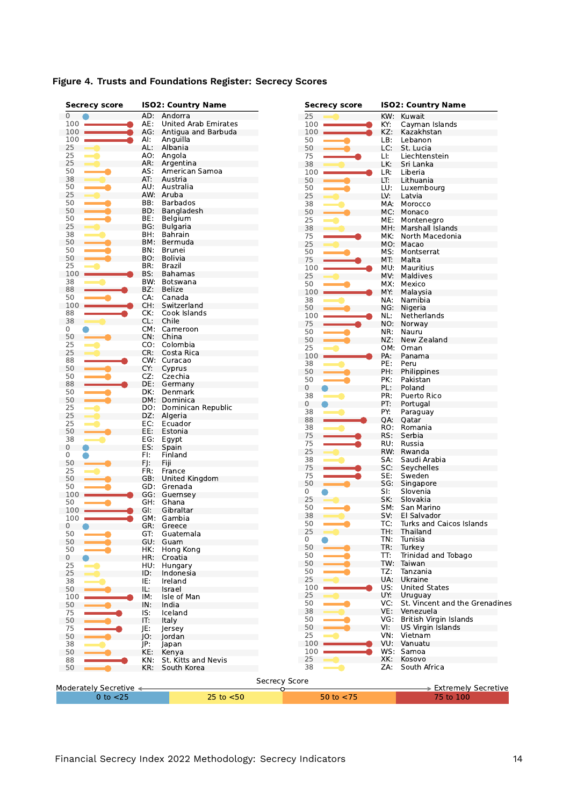| Secrecy score          |     | <b>ISO2: Country Name</b>   | <b>Secrecy score</b> |     | <b>ISO2: Country Name</b>      |
|------------------------|-----|-----------------------------|----------------------|-----|--------------------------------|
| 0                      |     | AD: Andorra                 | 25                   | KW: | Kuwait                         |
| 100                    | AE: | <b>United Arab Emirates</b> | 100                  | KY: | Cayman Islands                 |
| 100                    |     | AG: Antigua and Barbuda     | 100                  | KZ: | Kazakhstan                     |
| 100                    | Al: | Anguilla                    | 50                   | LB: | Lebanon                        |
| 25                     | AL: | Albania                     | 50                   | LC: | St. Lucia                      |
| 25                     | AO: | Angola                      | 75                   | LI: | Liechtenstein                  |
| 25                     |     | AR: Argentina               | 38                   | LK: | Sri Lanka                      |
| 50                     | AS: | American Samoa              | 100                  | LR: | Liberia                        |
| 38                     | AT: | Austria                     | 50                   | LT: | Lithuania                      |
| 50                     | AU: | Australia                   | 50                   | LU: | Luxembourg                     |
| 25                     |     | AW: Aruba                   | 25                   | LV: | Latvia                         |
| 50                     | BB: | <b>Barbados</b>             | 38                   |     | MA: Morocco                    |
| 50                     | BD: | Bangladesh                  | 50                   | MC: | Monaco                         |
| 50                     | BE: | Belgium                     | 25                   | ME: | Montenegro                     |
| 25                     | BG: | <b>Bulgaria</b>             | 38                   |     |                                |
| 38                     | BH: | Bahrain                     |                      | MH. | Marshall Islands               |
| 50                     | BM: | Bermuda                     | 75                   | MK: | North Macedonia                |
|                        | BN: |                             | 25                   |     | MO: Macao                      |
| 50                     |     | Brunei                      | 50                   | MS: | Montserrat                     |
| 50                     | BO. | Bolivia                     | 75                   | MT: | Malta                          |
| 25                     | BR: | Brazil                      | 100                  | MU: | Mauritius                      |
| 100                    | BS: | Bahamas                     | 25                   | MV: | Maldives                       |
| 38                     | BW. | Botswana                    | 50                   | MX: | Mexico                         |
| 88                     | BZ: | <b>Belize</b>               | 100                  | MY: | Malaysia                       |
| 50                     | CA: | Canada                      | 38                   | NA: | Namibia                        |
| 100                    | CH: | Switzerland                 | 50                   |     | NG: Nigeria                    |
| 88                     | CK: | Cook Islands                | 100                  | NL: | Netherlands                    |
| 38                     | CL: | Chile                       |                      |     |                                |
| 0                      |     | CM: Cameroon                | 75                   |     | NO: Norway                     |
| 50                     |     | CN: China                   | 50                   | NR: | Nauru                          |
| 25                     | CO: | Colombia                    | 50                   | NZ: | New Zealand                    |
| 25                     | CR: | Costa Rica                  | 25                   |     | OM: Oman                       |
|                        |     |                             | 100                  | PA: | Panama                         |
| 88                     |     | CW: Curacao                 | 38                   | PE: | Peru                           |
| 50                     | CY: | Cyprus                      | 50                   | PH: | Philippines                    |
| 50                     | CZ: | Czechia                     | 50                   | PK: | Pakistan                       |
| 88                     | DE: | Germany                     | 0                    | PL: | Poland                         |
| 50                     | DK: | Denmark                     | 38                   | PR: | Puerto Rico                    |
| 50                     |     | DM: Dominica                | 0                    | PT: | Portugal                       |
| 25                     | DO: | Dominican Republic          |                      |     |                                |
| 25                     | DZ: | Algeria                     | 38                   | PY: | Paraguay                       |
| 25                     | EC: | Ecuador                     | 88                   | QA: | Qatar                          |
| 50                     | EE: | Estonia                     | 38                   | RO: | Romania                        |
| 38                     | EG: | Egypt                       | 75                   | RS: | Serbia                         |
| 0                      | ES: | Spain                       | 75                   | RU: | Russia                         |
| 0                      | FI: | Finland                     | 25                   |     | RW: Rwanda                     |
| 50                     | FJ: | Fiji                        | 38                   | SA: | Saudi Arabia                   |
|                        | FR: |                             | 75                   | SC: | Seychelles                     |
| 25                     |     | France                      | 75                   | SE: | Sweden                         |
| 50                     | GB: | United Kingdom              | 50                   |     | SG: Singapore                  |
| 50                     |     | GD: Grenada                 | 0                    | SI: | Slovenia                       |
| 100                    |     | GG: Guernsey                | 25                   | SK: | Slovakia                       |
| 50                     | GH. | Ghana                       | 50                   | SM: | San Marino                     |
| 100                    | GI: | Gibraltar                   |                      |     |                                |
| 100                    |     | GM: Gambia                  | 38                   | SV: | El Salvador                    |
| 0                      |     | GR: Greece                  | 50                   | TC: | Turks and Caicos Islands       |
| 50                     | GT: | Guatemala                   | 25                   | TH: | Thailand                       |
| 50                     |     | GU: Guam                    | 0                    | TN: | Tunisia                        |
| 50                     | HK: | Hong Kong                   | 50                   | TR: | Turkey                         |
| 0                      | HR: | Croatia                     | 50                   | TT: | Trinidad and Tobago            |
| 25                     | HU: | Hungary                     | 50                   |     | TW: Taiwan                     |
| 25                     | ID: | Indonesia                   | 50                   | TZ: | Tanzania                       |
| 38                     | IE: |                             | 25                   |     | UA: Ukraine                    |
|                        |     | Ireland                     | 100                  | US: | <b>United States</b>           |
| 50                     | IL: | Israel                      | 25                   | UY: | Uruguay                        |
| 100                    | IM: | Isle of Man                 | 50                   | VC: | St. Vincent and the Grenadines |
| 50                     | IN: | India                       |                      |     |                                |
| 75                     | IS: | Iceland                     | 38                   | VE: | Venezuela                      |
| 50                     | IT: | Italy                       | 50                   | VG: | British Virgin Islands         |
| 75                     | JE: | lersey                      | 50                   | VI: | US Virgin Islands              |
| 50                     | JO: | Jordan                      | 25                   | VN: | Vietnam                        |
| 38                     | JP: | Japan                       | 100                  |     | VU: Vanuatu                    |
| 50                     | KE: | Kenya                       | 100                  |     | WS: Samoa                      |
| 88                     | KN: | St. Kitts and Nevis         | 25                   | XK: | Kosovo                         |
| 50                     | KR: | South Korea                 | 38                   | ZA: | South Africa                   |
|                        |     |                             |                      |     |                                |
|                        |     |                             | <b>Secrecy Score</b> |     |                                |
|                        |     |                             |                      |     |                                |
| Moderately Secretive < |     |                             |                      |     | > Extremely Secretive          |

#### **Figure 4. Trusts and Foundations Register: Secrecy Scores**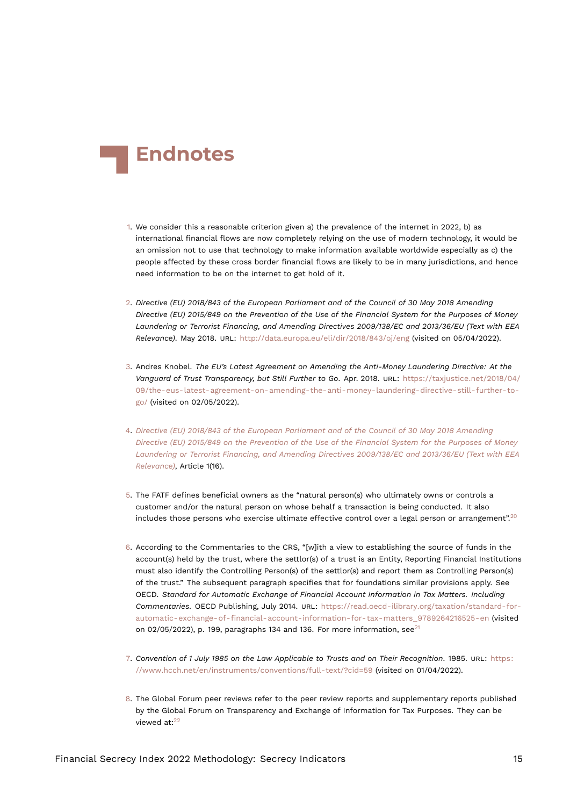<span id="page-14-12"></span>

- <span id="page-14-0"></span>[1.](#page-0-0) We consider this a reasonable criterion given a) the prevalence of the internet in 2022, b) as international financial flows are now completely relying on the use of modern technology, it would be an omission not to use that technology to make information available worldwide especially as c) the people affected by these cross border financial flows are likely to be in many jurisdictions, and hence need information to be on the internet to get hold of it.
- <span id="page-14-8"></span><span id="page-14-1"></span>[2.](#page-1-0) *Directive (EU) 2018/843 of the European Parliament and of the Council of 30 May 2018 Amending Directive (EU) 2015/849 on the Prevention of the Use of the Financial System for the Purposes of Money Laundering or Terrorist Financing, and Amending Directives 2009/138/EC and 2013/36/EU (Text with EEA Relevance)*. May 2018. URL: <http://data.europa.eu/eli/dir/2018/843/oj/eng> (visited on 05/04/2022).
- <span id="page-14-2"></span>[3.](#page-1-1) Andres Knobel. *The EU's Latest Agreement on Amending the Anti-Money Laundering Directive: At the Vanguard of Trust Transparency, but Still Further to Go*. Apr. 2018. URL: [https://taxjustice.net/2018/04/](https://taxjustice.net/2018/04/09/the-eus-latest-agreement-on-amending-the-anti-money-laundering-directive-still-further-to-go/) [09/the-eus-latest-agreement-on-amending-the-anti-money-laundering-directive-still-further-to](https://taxjustice.net/2018/04/09/the-eus-latest-agreement-on-amending-the-anti-money-laundering-directive-still-further-to-go/)[go/](https://taxjustice.net/2018/04/09/the-eus-latest-agreement-on-amending-the-anti-money-laundering-directive-still-further-to-go/) (visited on 02/05/2022).
- <span id="page-14-3"></span>[4.](#page-1-2) *[Directive \(EU\) 2018/843 of the European Parliament and of the Council of 30 May 2018 Amending](#page-14-8) [Directive \(EU\) 2015/849 on the Prevention of the Use of the Financial System for the Purposes of Money](#page-14-8) [Laundering or Terrorist Financing, and Amending Directives 2009/138/EC and 2013/36/EU \(Text with EEA](#page-14-8) [Relevance\)](#page-14-8)*, Article 1(16).
- <span id="page-14-9"></span><span id="page-14-4"></span>[5.](#page-4-0) The FATF defines beneficial owners as the "natural person(s) who ultimately owns or controls a customer and/or the natural person on whose behalf a transaction is being conducted. It also includes those persons who exercise ultimate effective control over a legal person or arrangement".<sup>[20](#page-15-11)</sup>
- <span id="page-14-5"></span>[6.](#page-4-1) According to the Commentaries to the CRS, "[w]ith a view to establishing the source of funds in the account(s) held by the trust, where the settlor(s) of a trust is an Entity, Reporting Financial Institutions must also identify the Controlling Person(s) of the settlor(s) and report them as Controlling Person(s) of the trust." The subsequent paragraph specifies that for foundations similar provisions apply. See OECD. *Standard for Automatic Exchange of Financial Account Information in Tax Matters. Including Commentaries.* OECD Publishing, July 2014. URL: [https://read.oecd-ilibrary.org/taxation/standard-for](https://read.oecd-ilibrary.org/taxation/standard-for-automatic-exchange-of-financial-account-information-for-tax-matters_9789264216525-en)[automatic-exchange-of-financial-account-information-for-tax-matters\\_9789264216525-en](https://read.oecd-ilibrary.org/taxation/standard-for-automatic-exchange-of-financial-account-information-for-tax-matters_9789264216525-en) (visited on 02/05/2022), p. 199, paragraphs 134 and 136. For more information, see $^{21}$  $^{21}$  $^{21}$
- <span id="page-14-10"></span><span id="page-14-6"></span>[7.](#page-5-0) *Convention of 1 July 1985 on the Law Applicable to Trusts and on Their Recognition*. 1985. URL: [https:](https://www.hcch.net/en/instruments/conventions/full-text/?cid=59) [//www.hcch.net/en/instruments/conventions/full-text/?cid=59](https://www.hcch.net/en/instruments/conventions/full-text/?cid=59) (visited on 01/04/2022).
- <span id="page-14-11"></span><span id="page-14-7"></span>[8.](#page-5-1) The Global Forum peer reviews refer to the peer review reports and supplementary reports published by the Global Forum on Transparency and Exchange of Information for Tax Purposes. They can be viewed at:<sup>[22](#page-16-0)</sup>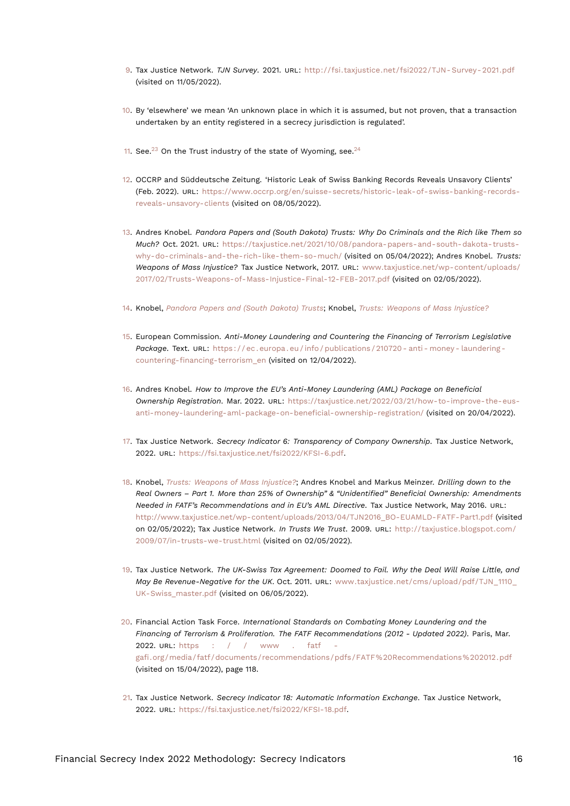- <span id="page-15-17"></span><span id="page-15-0"></span>[9.](#page-5-2) Tax Justice Network. *TJN Survey*. 2021. URL: [http://fsi.taxjustice.net/fsi2022/TJN- Survey- 2021.pdf](http://fsi.taxjustice.net/fsi2022/TJN-Survey-2021.pdf) (visited on 11/05/2022).
- <span id="page-15-1"></span>[10.](#page-5-3) By 'elsewhere' we mean 'An unknown place in which it is assumed, but not proven, that a transaction undertaken by an entity registered in a secrecy jurisdiction is regulated'.
- <span id="page-15-16"></span><span id="page-15-15"></span><span id="page-15-2"></span>[11.](#page-5-4) See.<sup>[23](#page-16-1)</sup> On the Trust industry of the state of Wyoming, see.<sup>[24](#page-16-2)</sup>
- <span id="page-15-3"></span>[12.](#page-6-0) OCCRP and Süddeutsche Zeitung. 'Historic Leak of Swiss Banking Records Reveals Unsavory Clients' (Feb. 2022). URL: [https://www.occrp.org/en/suisse-secrets/historic-leak-of-swiss-banking-records](https://www.occrp.org/en/suisse-secrets/historic-leak-of-swiss-banking-records-reveals-unsavory-clients)[reveals-unsavory-clients](https://www.occrp.org/en/suisse-secrets/historic-leak-of-swiss-banking-records-reveals-unsavory-clients) (visited on 08/05/2022).
- <span id="page-15-14"></span><span id="page-15-13"></span><span id="page-15-4"></span>[13.](#page-6-1) Andres Knobel. *Pandora Papers and (South Dakota) Trusts: Why Do Criminals and the Rich like Them so Much?* Oct. 2021. URL: [https://taxjustice.net/2021/10/08/pandora-papers-and-south-dakota-trusts](https://taxjustice.net/2021/10/08/pandora-papers-and-south-dakota-trusts-why-do-criminals-and-the-rich-like-them-so-much/)[why-do-criminals-and-the-rich-like-them-so-much/](https://taxjustice.net/2021/10/08/pandora-papers-and-south-dakota-trusts-why-do-criminals-and-the-rich-like-them-so-much/) (visited on 05/04/2022); Andres Knobel. *Trusts: Weapons of Mass Injustice?* Tax Justice Network, 2017. URL: [www.taxjustice.net/wp-content/uploads/](www.taxjustice.net/wp-content/uploads/2017/02/Trusts-Weapons-of-Mass-Injustice-Final-12-FEB-2017.pdf) [2017/02/Trusts-Weapons-of-Mass-Injustice-Final-12-FEB-2017.pdf](www.taxjustice.net/wp-content/uploads/2017/02/Trusts-Weapons-of-Mass-Injustice-Final-12-FEB-2017.pdf) (visited on 02/05/2022).
- <span id="page-15-5"></span>[14.](#page-6-2) Knobel, *[Pandora Papers and \(South Dakota\) Trusts](#page-15-13)*; Knobel, *[Trusts: Weapons of Mass Injustice?](#page-15-14)*
- <span id="page-15-6"></span>[15.](#page-6-3) European Commission. *Anti-Money Laundering and Countering the Financing of Terrorism Legislative Package*. Text. URL: [https : / / ec . europa . eu / info / publications / 210720 - anti - money - laundering](https://ec.europa.eu/info/publications/210720-anti-money-laundering-countering-financing-terrorism_en)  [countering-financing-terrorism\\_en](https://ec.europa.eu/info/publications/210720-anti-money-laundering-countering-financing-terrorism_en) (visited on 12/04/2022).
- <span id="page-15-7"></span>[16.](#page-6-4) Andres Knobel. *How to Improve the EU's Anti-Money Laundering (AML) Package on Beneficial Ownership Registration*. Mar. 2022. URL: [https://taxjustice.net/2022/03/21/how-to-improve-the-eus](https://taxjustice.net/2022/03/21/how-to-improve-the-eus-anti-money-laundering-aml-package-on-beneficial-ownership-registration/)[anti-money-laundering-aml-package-on-beneficial-ownership-registration/](https://taxjustice.net/2022/03/21/how-to-improve-the-eus-anti-money-laundering-aml-package-on-beneficial-ownership-registration/) (visited on 20/04/2022).
- <span id="page-15-8"></span>[17.](#page-6-5) Tax Justice Network. *Secrecy Indicator 6: Transparency of Company Ownership*. Tax Justice Network, 2022. URL: <https://fsi.taxjustice.net/fsi2022/KFSI-6.pdf>.
- <span id="page-15-9"></span>[18.](#page-7-0) Knobel, *[Trusts: Weapons of Mass Injustice?](#page-15-14)*; Andres Knobel and Markus Meinzer. *Drilling down to the Real Owners – Part 1. More than 25% of Ownership" & "Unidentified" Beneficial Ownership: Amendments Needed in FATF's Recommendations and in EU's AML Directive*. Tax Justice Network, May 2016. URL: [http://www.taxjustice.net/wp-content/uploads/2013/04/TJN2016\\_BO-EUAMLD-FATF-Part1.pdf](http://www.taxjustice.net/wp-content/uploads/2013/04/TJN2016_BO-EUAMLD-FATF-Part1.pdf) (visited on 02/05/2022); Tax Justice Network. *In Trusts We Trust*. 2009. URL: [http://taxjustice.blogspot.com/](http://taxjustice.blogspot.com/2009/07/in-trusts-we-trust.html) [2009/07/in-trusts-we-trust.html](http://taxjustice.blogspot.com/2009/07/in-trusts-we-trust.html) (visited on 02/05/2022).
- <span id="page-15-10"></span>[19.](#page-7-1) Tax Justice Network. *The UK-Swiss Tax Agreement: Doomed to Fail. Why the Deal Will Raise Little, and May Be Revenue-Negative for the UK*. Oct. 2011. URL: [www.taxjustice.net/cms/upload/pdf/TJN\\_1110\\_](www.taxjustice.net/cms/upload/pdf/TJN_1110_UK-Swiss_master.pdf) [UK-Swiss\\_master.pdf](www.taxjustice.net/cms/upload/pdf/TJN_1110_UK-Swiss_master.pdf) (visited on 06/05/2022).
- <span id="page-15-11"></span>[20.](#page-14-9) Financial Action Task Force. *International Standards on Combating Money Laundering and the Financing of Terrorism & Proliferation. The FATF Recommendations (2012 - Updated 2022)*. Paris, Mar. 2022. URL: https : / / www . fatf [gafi.org/media/fatf/documents/recommendations/pdfs/FATF%20Recommendations%202012.pdf](https://www.fatf-gafi.org/media/fatf/documents/recommendations/pdfs/FATF%20Recommendations%202012.pdf) (visited on 15/04/2022), page 118.
- <span id="page-15-12"></span>[21.](#page-14-10) Tax Justice Network. *Secrecy Indicator 18: Automatic Information Exchange*. Tax Justice Network, 2022. URL: <https://fsi.taxjustice.net/fsi2022/KFSI-18.pdf>.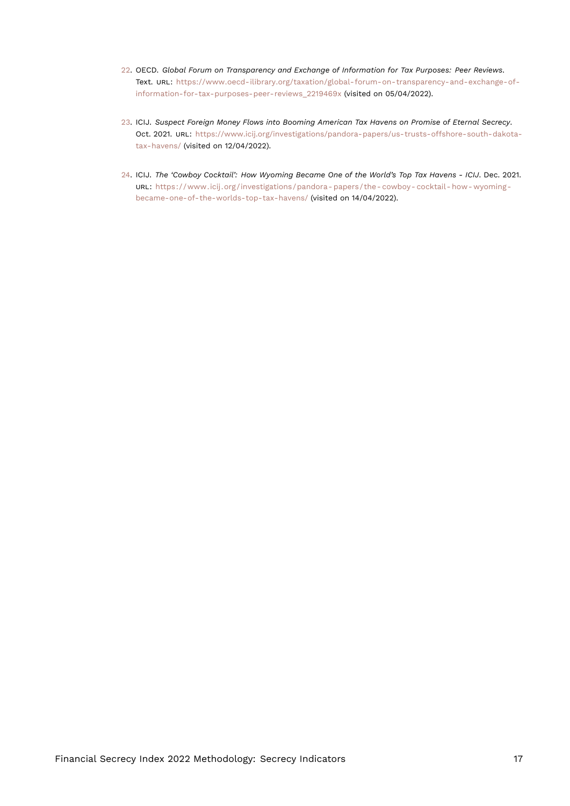- <span id="page-16-3"></span><span id="page-16-0"></span>[22.](#page-14-11) OECD. *Global Forum on Transparency and Exchange of Information for Tax Purposes: Peer Reviews*. Text. URL: [https://www.oecd-ilibrary.org/taxation/global-forum-on-transparency-and-exchange-of](https://www.oecd-ilibrary.org/taxation/global-forum-on-transparency-and-exchange-of-information-for-tax-purposes-peer-reviews_2219469x)[information-for-tax-purposes-peer-reviews\\_2219469x](https://www.oecd-ilibrary.org/taxation/global-forum-on-transparency-and-exchange-of-information-for-tax-purposes-peer-reviews_2219469x) (visited on 05/04/2022).
- <span id="page-16-1"></span>[23.](#page-15-15) ICIJ. *Suspect Foreign Money Flows into Booming American Tax Havens on Promise of Eternal Secrecy*. Oct. 2021. URL: [https://www.icij.org/investigations/pandora-papers/us-trusts-offshore-south-dakota](https://www.icij.org/investigations/pandora-papers/us-trusts-offshore-south-dakota-tax-havens/)[tax-havens/](https://www.icij.org/investigations/pandora-papers/us-trusts-offshore-south-dakota-tax-havens/) (visited on 12/04/2022).
- <span id="page-16-2"></span>[24.](#page-15-16) ICIJ. *The 'Cowboy Cocktail': How Wyoming Became One of the World's Top Tax Havens - ICIJ*. Dec. 2021. URL: [https://www.icij.org/investigations/pandora- papers/the- cowboy- cocktail- how- wyoming](https://www.icij.org/investigations/pandora-papers/the-cowboy-cocktail-how-wyoming-became-one-of-the-worlds-top-tax-havens/)[became-one-of-the-worlds-top-tax-havens/](https://www.icij.org/investigations/pandora-papers/the-cowboy-cocktail-how-wyoming-became-one-of-the-worlds-top-tax-havens/) (visited on 14/04/2022).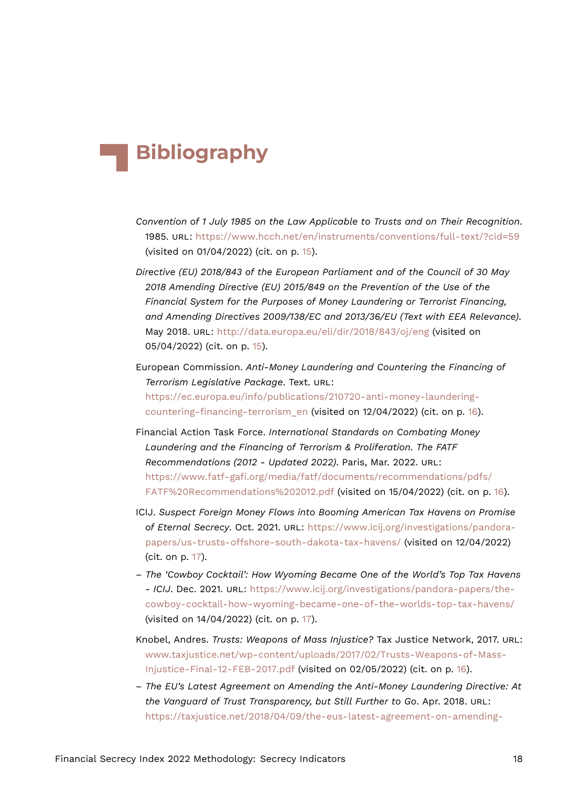# **Bibliography**

- *Convention of 1 July 1985 on the Law Applicable to Trusts and on Their Recognition*. 1985. URL: <https://www.hcch.net/en/instruments/conventions/full-text/?cid=59> (visited on 01/04/2022) (cit. on p. [15\)](#page-14-12).
- *Directive (EU) 2018/843 of the European Parliament and of the Council of 30 May 2018 Amending Directive (EU) 2015/849 on the Prevention of the Use of the Financial System for the Purposes of Money Laundering or Terrorist Financing, and Amending Directives 2009/138/EC and 2013/36/EU (Text with EEA Relevance)*. May 2018. URL: <http://data.europa.eu/eli/dir/2018/843/oj/eng> (visited on 05/04/2022) (cit. on p. [15\)](#page-14-12).
- European Commission. *Anti-Money Laundering and Countering the Financing of Terrorism Legislative Package*. Text. URL: [https://ec.europa.eu/info/publications/210720-anti-money-laundering](https://ec.europa.eu/info/publications/210720-anti-money-laundering-countering-financing-terrorism_en)[countering-financing-terrorism\\_en](https://ec.europa.eu/info/publications/210720-anti-money-laundering-countering-financing-terrorism_en) (visited on 12/04/2022) (cit. on p. [16](#page-15-17)).
- Financial Action Task Force. *International Standards on Combating Money Laundering and the Financing of Terrorism & Proliferation. The FATF Recommendations (2012 - Updated 2022)*. Paris, Mar. 2022. URL: [https://www.fatf-gafi.org/media/fatf/documents/recommendations/pdfs/](https://www.fatf-gafi.org/media/fatf/documents/recommendations/pdfs/FATF%20Recommendations%202012.pdf) [FATF%20Recommendations%202012.pdf](https://www.fatf-gafi.org/media/fatf/documents/recommendations/pdfs/FATF%20Recommendations%202012.pdf) (visited on 15/04/2022) (cit. on p. [16](#page-15-17)).
- ICIJ. *Suspect Foreign Money Flows into Booming American Tax Havens on Promise of Eternal Secrecy*. Oct. 2021. URL: [https://www.icij.org/investigations/pandora](https://www.icij.org/investigations/pandora-papers/us-trusts-offshore-south-dakota-tax-havens/)[papers/us-trusts-offshore-south-dakota-tax-havens/](https://www.icij.org/investigations/pandora-papers/us-trusts-offshore-south-dakota-tax-havens/) (visited on 12/04/2022) (cit. on p. [17](#page-16-3)).
- *The 'Cowboy Cocktail': How Wyoming Became One of the World's Top Tax Havens - ICIJ*. Dec. 2021. URL: [https://www.icij.org/investigations/pandora-papers/the](https://www.icij.org/investigations/pandora-papers/the-cowboy-cocktail-how-wyoming-became-one-of-the-worlds-top-tax-havens/)[cowboy-cocktail-how-wyoming-became-one-of-the-worlds-top-tax-havens/](https://www.icij.org/investigations/pandora-papers/the-cowboy-cocktail-how-wyoming-became-one-of-the-worlds-top-tax-havens/) (visited on 14/04/2022) (cit. on p. [17](#page-16-3)).
- Knobel, Andres. *Trusts: Weapons of Mass Injustice?* Tax Justice Network, 2017. URL: [www.taxjustice.net/wp-content/uploads/2017/02/Trusts-Weapons-of-Mass-](www.taxjustice.net/wp-content/uploads/2017/02/Trusts-Weapons-of-Mass-Injustice-Final-12-FEB-2017.pdf)[Injustice-Final-12-FEB-2017.pdf](www.taxjustice.net/wp-content/uploads/2017/02/Trusts-Weapons-of-Mass-Injustice-Final-12-FEB-2017.pdf) (visited on 02/05/2022) (cit. on p. [16](#page-15-17)).
- *The EU's Latest Agreement on Amending the Anti-Money Laundering Directive: At the Vanguard of Trust Transparency, but Still Further to Go*. Apr. 2018. URL: [https://taxjustice.net/2018/04/09/the-eus-latest-agreement-on-amending-](https://taxjustice.net/2018/04/09/the-eus-latest-agreement-on-amending-the-anti-money-laundering-directive-still-further-to-go/)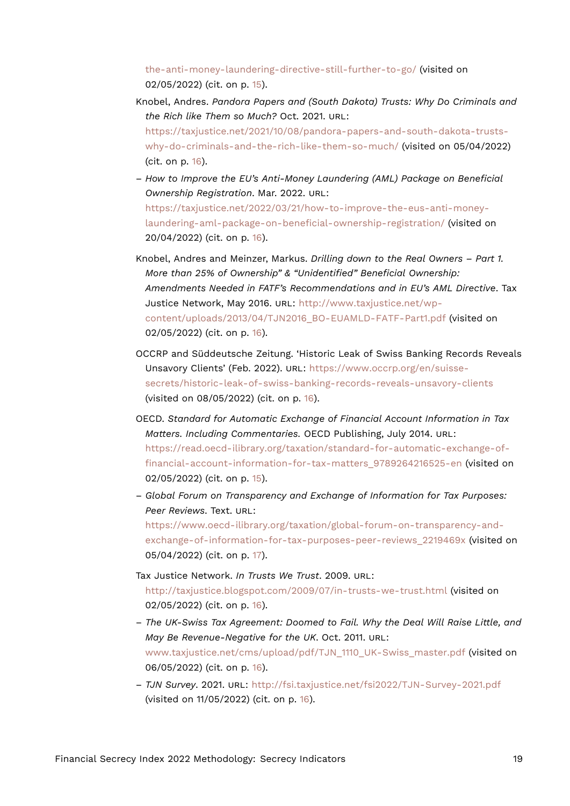[the-anti-money-laundering-directive-still-further-to-go/](https://taxjustice.net/2018/04/09/the-eus-latest-agreement-on-amending-the-anti-money-laundering-directive-still-further-to-go/) (visited on 02/05/2022) (cit. on p. [15](#page-14-12)).

- Knobel, Andres. *Pandora Papers and (South Dakota) Trusts: Why Do Criminals and the Rich like Them so Much?* Oct. 2021. URL: [https://taxjustice.net/2021/10/08/pandora-papers-and-south-dakota-trusts](https://taxjustice.net/2021/10/08/pandora-papers-and-south-dakota-trusts-why-do-criminals-and-the-rich-like-them-so-much/)[why-do-criminals-and-the-rich-like-them-so-much/](https://taxjustice.net/2021/10/08/pandora-papers-and-south-dakota-trusts-why-do-criminals-and-the-rich-like-them-so-much/) (visited on 05/04/2022) (cit. on p. [16\)](#page-15-17).
- *How to Improve the EU's Anti-Money Laundering (AML) Package on Beneficial Ownership Registration*. Mar. 2022. URL: [https://taxjustice.net/2022/03/21/how-to-improve-the-eus-anti-money](https://taxjustice.net/2022/03/21/how-to-improve-the-eus-anti-money-laundering-aml-package-on-beneficial-ownership-registration/)[laundering-aml-package-on-beneficial-ownership-registration/](https://taxjustice.net/2022/03/21/how-to-improve-the-eus-anti-money-laundering-aml-package-on-beneficial-ownership-registration/) (visited on 20/04/2022) (cit. on p. [16\)](#page-15-17).
- Knobel, Andres and Meinzer, Markus. *Drilling down to the Real Owners Part 1. More than 25% of Ownership" & "Unidentified" Beneficial Ownership: Amendments Needed in FATF's Recommendations and in EU's AML Directive*. Tax Justice Network, May 2016. URL: [http://www.taxjustice.net/wp](http://www.taxjustice.net/wp-content/uploads/2013/04/TJN2016_BO-EUAMLD-FATF-Part1.pdf)[content/uploads/2013/04/TJN2016\\_BO-EUAMLD-FATF-Part1.pdf](http://www.taxjustice.net/wp-content/uploads/2013/04/TJN2016_BO-EUAMLD-FATF-Part1.pdf) (visited on 02/05/2022) (cit. on p. [16\)](#page-15-17).
- OCCRP and Süddeutsche Zeitung. 'Historic Leak of Swiss Banking Records Reveals Unsavory Clients' (Feb. 2022). URL: [https://www.occrp.org/en/suisse](https://www.occrp.org/en/suisse-secrets/historic-leak-of-swiss-banking-records-reveals-unsavory-clients)[secrets/historic-leak-of-swiss-banking-records-reveals-unsavory-clients](https://www.occrp.org/en/suisse-secrets/historic-leak-of-swiss-banking-records-reveals-unsavory-clients) (visited on 08/05/2022) (cit. on p. [16\)](#page-15-17).
- OECD. *Standard for Automatic Exchange of Financial Account Information in Tax Matters. Including Commentaries.* OECD Publishing, July 2014. URL: [https://read.oecd-ilibrary.org/taxation/standard-for-automatic-exchange-of](https://read.oecd-ilibrary.org/taxation/standard-for-automatic-exchange-of-financial-account-information-for-tax-matters_9789264216525-en)[financial-account-information-for-tax-matters\\_9789264216525-en](https://read.oecd-ilibrary.org/taxation/standard-for-automatic-exchange-of-financial-account-information-for-tax-matters_9789264216525-en) (visited on 02/05/2022) (cit. on p. [15](#page-14-12)).
- *Global Forum on Transparency and Exchange of Information for Tax Purposes: Peer Reviews*. Text. URL: [https://www.oecd-ilibrary.org/taxation/global-forum-on-transparency-and-](https://www.oecd-ilibrary.org/taxation/global-forum-on-transparency-and-exchange-of-information-for-tax-purposes-peer-reviews_2219469x)

exchange-of-information-for-tax-purposes-peer-reviews 2219469x (visited on 05/04/2022) (cit. on p. [17](#page-16-3)).

- Tax Justice Network. *In Trusts We Trust*. 2009. URL: <http://taxjustice.blogspot.com/2009/07/in-trusts-we-trust.html> (visited on 02/05/2022) (cit. on p. [16\)](#page-15-17).
- *The UK-Swiss Tax Agreement: Doomed to Fail. Why the Deal Will Raise Little, and May Be Revenue-Negative for the UK*. Oct. 2011. URL: [www.taxjustice.net/cms/upload/pdf/TJN\\_1110\\_UK-Swiss\\_master.pdf](www.taxjustice.net/cms/upload/pdf/TJN_1110_UK-Swiss_master.pdf) (visited on 06/05/2022) (cit. on p. [16\)](#page-15-17).
- *TJN Survey*. 2021. URL: <http://fsi.taxjustice.net/fsi2022/TJN-Survey-2021.pdf> (visited on 11/05/2022) (cit. on p. [16](#page-15-17)).